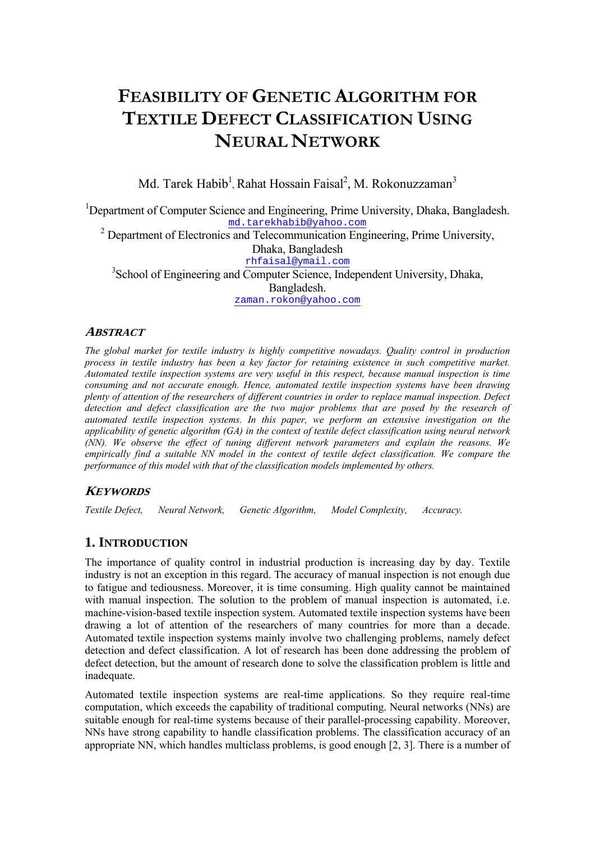# **FEASIBILITY OF GENETIC ALGORITHM FOR TEXTILE DEFECT CLASSIFICATION USING NEURAL NETWORK**

Md. Tarek Habib<sup>1</sup>, Rahat Hossain Faisal<sup>2</sup>, M. Rokonuzzaman<sup>3</sup>

<sup>1</sup>Department of Computer Science and Engineering, Prime University, Dhaka, Bangladesh. [md.tarekhabib@yahoo.com](mailto:md.tarekhabib@yahoo.com)

<sup>2</sup> Department of Electronics and Telecommunication En[gin](mailto:md.tarekhabib@yahoo.com)eering, Prime University,

Dhaka, Bangladesh

[rhfaisal@ymail.com](mailto:rhfaisal@ymail.com)

<sup>3</sup>School of Engineering and Computer Science, Independent University, Dhaka,

Bangladesh.

[zaman.rokon@yahoo.com](mailto:zaman.rokon@yahoo.com)

# **ABSTRACT**

*The global market for textile industry is highly competitive nowadays. Quality control in production process in textile industry has been a key factor for retaining existence in such competitive market. Automated textile inspection systems are very useful in this respect, because manual inspection is time consuming and not accurate enough. Hence, automated textile inspection systems have been drawing plenty of attention of the researchers of different countries in order to replace manual inspection. Defect detection and defect classification are the two major problems that are posed by the research of automated textile inspection systems. In this paper, we perform an extensive investigation on the applicability of genetic algorithm (GA) in the context of textile defect classification using neural network (NN). We observe the effect of tuning different network parameters and explain the reasons. We empirically find a suitable NN model in the context of textile defect classification. We compare the performance of this model with that of the classification models implemented by others.* 

# **KEYWORDS**

*Textile Defect, Neural Network, Genetic Algorithm, Model Complexity, Accuracy.* 

# **1. INTRODUCTION**

The importance of quality control in industrial production is increasing day by day. Textile industry is not an exception in this regard. The accuracy of manual inspection is not enough due to fatigue and tediousness. Moreover, it is time consuming. High quality cannot be maintained with manual inspection. The solution to the problem of manual inspection is automated, i.e. machine-vision-based textile inspection system. Automated textile inspection systems have been drawing a lot of attention of the researchers of many countries for more than a decade. Automated textile inspection systems mainly involve two challenging problems, namely defect detection and defect classification. A lot of research has been done addressing the problem of defect detection, but the amount of research done to solve the classification problem is little and inadequate.

Automated textile inspection systems are real-time applications. So they require real-time computation, which exceeds the capability of traditional computing. Neural networks (NNs) are suitable enough for real-time systems because of their parallel-processing capability. Moreover, NNs have strong capability to handle classification problems. The classification accuracy of an appropriate NN, which handles multiclass problems, is good enough [2, 3]. There is a number of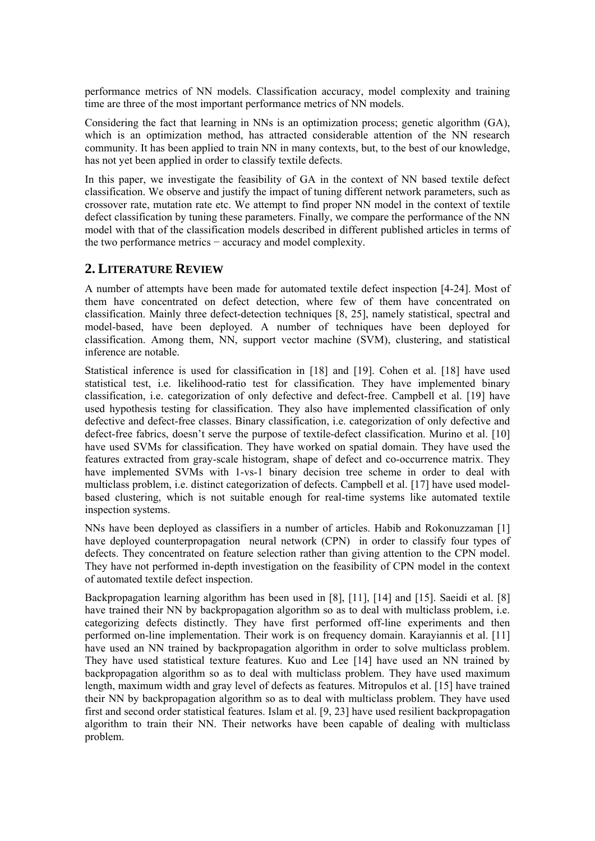performance metrics of NN models. Classification accuracy, model complexity and training time are three of the most important performance metrics of NN models.

Considering the fact that learning in NNs is an optimization process; genetic algorithm (GA), which is an optimization method, has attracted considerable attention of the NN research community. It has been applied to train NN in many contexts, but, to the best of our knowledge, has not yet been applied in order to classify textile defects.

In this paper, we investigate the feasibility of GA in the context of NN based textile defect classification. We observe and justify the impact of tuning different network parameters, such as crossover rate, mutation rate etc. We attempt to find proper NN model in the context of textile defect classification by tuning these parameters. Finally, we compare the performance of the NN model with that of the classification models described in different published articles in terms of the two performance metrics − accuracy and model complexity.

# **2. LITERATURE REVIEW**

A number of attempts have been made for automated textile defect inspection [4-24]. Most of them have concentrated on defect detection, where few of them have concentrated on classification. Mainly three defect-detection techniques [8, 25], namely statistical, spectral and model-based, have been deployed. A number of techniques have been deployed for classification. Among them, NN, support vector machine (SVM), clustering, and statistical inference are notable.

Statistical inference is used for classification in [18] and [19]. Cohen et al. [18] have used statistical test, i.e. likelihood-ratio test for classification. They have implemented binary classification, i.e. categorization of only defective and defect-free. Campbell et al. [19] have used hypothesis testing for classification. They also have implemented classification of only defective and defect-free classes. Binary classification, i.e. categorization of only defective and defect-free fabrics, doesn't serve the purpose of textile-defect classification. Murino et al. [10] have used SVMs for classification. They have worked on spatial domain. They have used the features extracted from gray-scale histogram, shape of defect and co-occurrence matrix. They have implemented SVMs with 1-vs-1 binary decision tree scheme in order to deal with multiclass problem, i.e. distinct categorization of defects. Campbell et al. [17] have used modelbased clustering, which is not suitable enough for real-time systems like automated textile inspection systems.

NNs have been deployed as classifiers in a number of articles. Habib and Rokonuzzaman [1] have deployed counterpropagation neural network (CPN) in order to classify four types of defects. They concentrated on feature selection rather than giving attention to the CPN model. They have not performed in-depth investigation on the feasibility of CPN model in the context of automated textile defect inspection.

Backpropagation learning algorithm has been used in [8], [11], [14] and [15]. Saeidi et al. [8] have trained their NN by backpropagation algorithm so as to deal with multiclass problem, i.e. categorizing defects distinctly. They have first performed off-line experiments and then performed on-line implementation. Their work is on frequency domain. Karayiannis et al. [11] have used an NN trained by backpropagation algorithm in order to solve multiclass problem. They have used statistical texture features. Kuo and Lee [14] have used an NN trained by backpropagation algorithm so as to deal with multiclass problem. They have used maximum length, maximum width and gray level of defects as features. Mitropulos et al. [15] have trained their NN by backpropagation algorithm so as to deal with multiclass problem. They have used first and second order statistical features. Islam et al. [9, 23] have used resilient backpropagation algorithm to train their NN. Their networks have been capable of dealing with multiclass problem.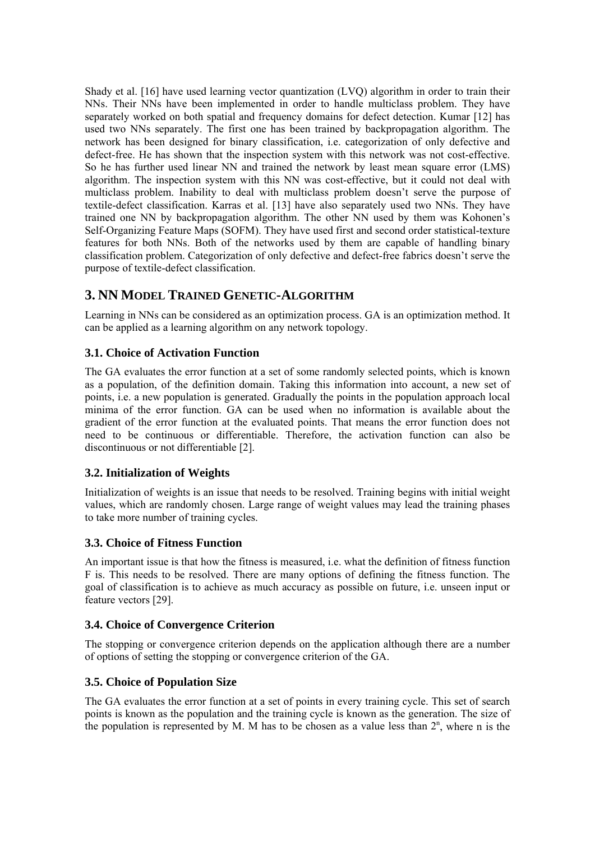Shady et al. [16] have used learning vector quantization (LVQ) algorithm in order to train their NNs. Their NNs have been implemented in order to handle multiclass problem. They have separately worked on both spatial and frequency domains for defect detection. Kumar [12] has used two NNs separately. The first one has been trained by backpropagation algorithm. The network has been designed for binary classification, i.e. categorization of only defective and defect-free. He has shown that the inspection system with this network was not cost-effective. So he has further used linear NN and trained the network by least mean square error (LMS) algorithm. The inspection system with this NN was cost-effective, but it could not deal with multiclass problem. Inability to deal with multiclass problem doesn't serve the purpose of textile-defect classification. Karras et al. [13] have also separately used two NNs. They have trained one NN by backpropagation algorithm. The other NN used by them was Kohonen's Self-Organizing Feature Maps (SOFM). They have used first and second order statistical-texture features for both NNs. Both of the networks used by them are capable of handling binary classification problem. Categorization of only defective and defect-free fabrics doesn't serve the purpose of textile-defect classification.

# **3. NN MODEL TRAINED GENETIC-ALGORITHM**

Learning in NNs can be considered as an optimization process. GA is an optimization method. It can be applied as a learning algorithm on any network topology.

# **3.1. Choice of Activation Function**

The GA evaluates the error function at a set of some randomly selected points, which is known as a population, of the definition domain. Taking this information into account, a new set of points, i.e. a new population is generated. Gradually the points in the population approach local minima of the error function. GA can be used when no information is available about the gradient of the error function at the evaluated points. That means the error function does not need to be continuous or differentiable. Therefore, the activation function can also be discontinuous or not differentiable [2].

# **3.2. Initialization of Weights**

Initialization of weights is an issue that needs to be resolved. Training begins with initial weight values, which are randomly chosen. Large range of weight values may lead the training phases to take more number of training cycles.

# **3.3. Choice of Fitness Function**

An important issue is that how the fitness is measured, i.e. what the definition of fitness function F is. This needs to be resolved. There are many options of defining the fitness function. The goal of classification is to achieve as much accuracy as possible on future, i.e. unseen input or feature vectors [29].

# **3.4. Choice of Convergence Criterion**

The stopping or convergence criterion depends on the application although there are a number of options of setting the stopping or convergence criterion of the GA.

# **3.5. Choice of Population Size**

The GA evaluates the error function at a set of points in every training cycle. This set of search points is known as the population and the training cycle is known as the generation. The size of the population is represented by M. M has to be chosen as a value less than  $2^n$ , where n is the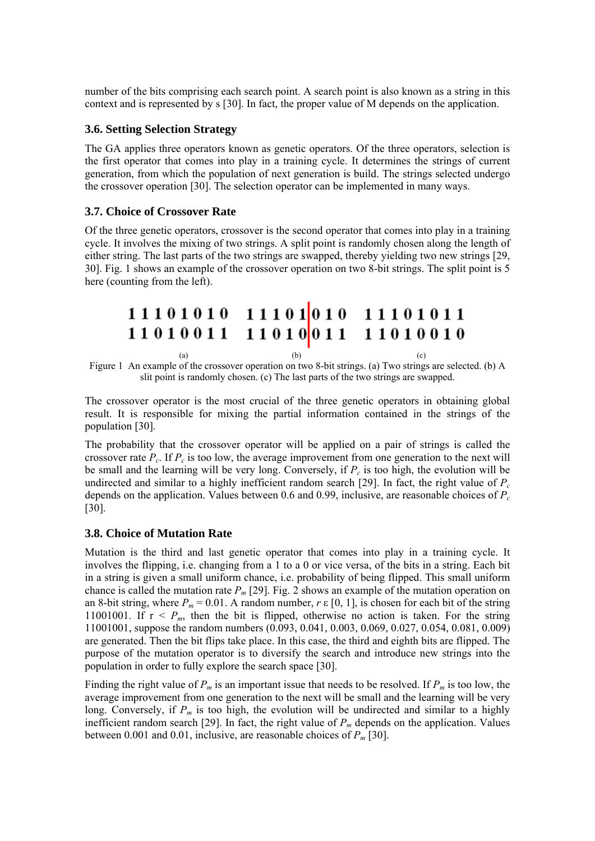number of the bits comprising each search point. A search point is also known as a string in this context and is represented by s [30]. In fact, the proper value of M depends on the application.

# **3.6. Setting Selection Strategy**

The GA applies three operators known as genetic operators. Of the three operators, selection is the first operator that comes into play in a training cycle. It determines the strings of current generation, from which the population of next generation is build. The strings selected undergo the crossover operation [30]. The selection operator can be implemented in many ways.

# **3.7. Choice of Crossover Rate**

Of the three genetic operators, crossover is the second operator that comes into play in a training cycle. It involves the mixing of two strings. A split point is randomly chosen along the length of either string. The last parts of the two strings are swapped, thereby yielding two new strings [29, 30]. Fig. 1 shows an example of the crossover operation on two 8-bit strings. The split point is 5 here (counting from the left).

# $\begin{bmatrix} 1 & 1 & 1 & 0 & 1 & 0 & 1 & 0 & 0 & 1 & 1 & 1 & 1 & 0 & 1 & 0 & 1 & 0 & 1 & 1 & 1 & 0 & 1 & 0 & 0 & 1 & 1 & 1 & 1 & 0 & 1 & 0 & 0 & 1 & 0 & 0 & 1 & 0 & 0 & 0 & 0 \end{bmatrix}$

Figure 1 An example of the crossover operation on two 8-bit strings. (a) Two strings are selected. (b) A slit point is randomly chosen. (c) The last parts of the two strings are swapped.

The crossover operator is the most crucial of the three genetic operators in obtaining global result. It is responsible for mixing the partial information contained in the strings of the population [30].

The probability that the crossover operator will be applied on a pair of strings is called the crossover rate  $P_c$ . If  $P_c$  is too low, the average improvement from one generation to the next will be small and the learning will be very long. Conversely, if  $P_c$  is too high, the evolution will be undirected and similar to a highly inefficient random search [29]. In fact, the right value of  $P_c$ depends on the application. Values between 0.6 and 0.99, inclusive, are reasonable choices of  $P_c$ [30].

# **3.8. Choice of Mutation Rate**

Mutation is the third and last genetic operator that comes into play in a training cycle. It involves the flipping, i.e. changing from a 1 to a 0 or vice versa, of the bits in a string. Each bit in a string is given a small uniform chance, i.e. probability of being flipped. This small uniform chance is called the mutation rate *Pm* [29]. Fig. 2 shows an example of the mutation operation on an 8-bit string, where  $P_m = 0.01$ . A random number,  $r \in [0, 1]$ , is chosen for each bit of the string 11001001. If  $r < P_m$ , then the bit is flipped, otherwise no action is taken. For the string 11001001, suppose the random numbers (0.093, 0.041, 0.003, 0.069, 0.027, 0.054, 0.081, 0.009) are generated. Then the bit flips take place. In this case, the third and eighth bits are flipped. The purpose of the mutation operator is to diversify the search and introduce new strings into the population in order to fully explore the search space [30].

Finding the right value of  $P_m$  is an important issue that needs to be resolved. If  $P_m$  is too low, the average improvement from one generation to the next will be small and the learning will be very long. Conversely, if  $P_m$  is too high, the evolution will be undirected and similar to a highly inefficient random search [29]. In fact, the right value of *Pm* depends on the application. Values between 0.001 and 0.01, inclusive, are reasonable choices of *Pm* [30].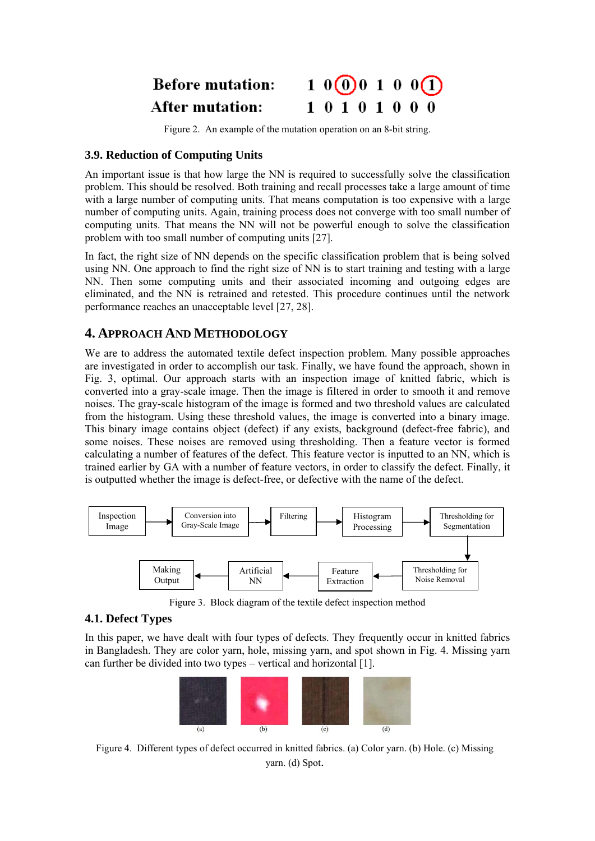| <b>Before mutation:</b> |  |  |  |                 | 1000100 |
|-------------------------|--|--|--|-----------------|---------|
| <b>After mutation:</b>  |  |  |  | 1 0 1 0 1 0 0 0 |         |

Figure 2. An example of the mutation operation on an 8-bit string.

# **3.9. Reduction of Computing Units**

An important issue is that how large the NN is required to successfully solve the classification problem. This should be resolved. Both training and recall processes take a large amount of time with a large number of computing units. That means computation is too expensive with a large number of computing units. Again, training process does not converge with too small number of computing units. That means the NN will not be powerful enough to solve the classification problem with too small number of computing units [27].

In fact, the right size of NN depends on the specific classification problem that is being solved using NN. One approach to find the right size of NN is to start training and testing with a large NN. Then some computing units and their associated incoming and outgoing edges are eliminated, and the NN is retrained and retested. This procedure continues until the network performance reaches an unacceptable level [27, 28].

# **4. APPROACH AND METHODOLOGY**

We are to address the automated textile defect inspection problem. Many possible approaches are investigated in order to accomplish our task. Finally, we have found the approach, shown in Fig. 3, optimal. Our approach starts with an inspection image of knitted fabric, which is converted into a gray-scale image. Then the image is filtered in order to smooth it and remove noises. The gray-scale histogram of the image is formed and two threshold values are calculated from the histogram. Using these threshold values, the image is converted into a binary image. This binary image contains object (defect) if any exists, background (defect-free fabric), and some noises. These noises are removed using thresholding. Then a feature vector is formed calculating a number of features of the defect. This feature vector is inputted to an NN, which is trained earlier by GA with a number of feature vectors, in order to classify the defect. Finally, it is outputted whether the image is defect-free, or defective with the name of the defect.



Figure 3. Block diagram of the textile defect inspection method

# **4.1. Defect Types**

In this paper, we have dealt with four types of defects. They frequently occur in knitted fabrics in Bangladesh. They are color yarn, hole, missing yarn, and spot shown in Fig. 4. Missing yarn can further be divided into two types – vertical and horizontal [1].



Figure 4. Different types of defect occurred in knitted fabrics. (a) Color yarn. (b) Hole. (c) Missing yarn. (d) Spot.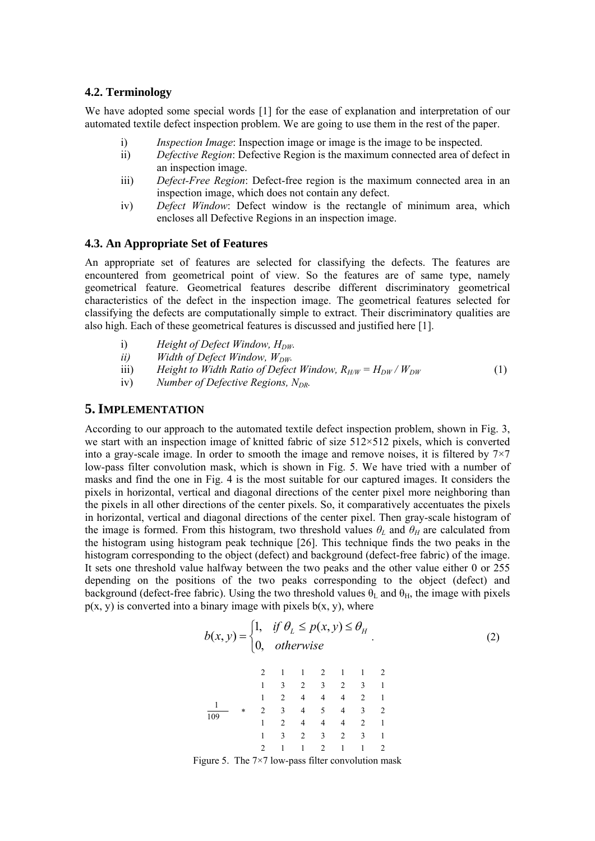# **4.2. Terminology**

We have adopted some special words [1] for the ease of explanation and interpretation of our automated textile defect inspection problem. We are going to use them in the rest of the paper.

- i) *Inspection Image*: Inspection image or image is the image to be inspected.
- ii) *Defective Region*: Defective Region is the maximum connected area of defect in an inspection image.
- iii) *Defect-Free Region*: Defect-free region is the maximum connected area in an inspection image, which does not contain any defect.
- iv) *Defect Window*: Defect window is the rectangle of minimum area, which encloses all Defective Regions in an inspection image.

# **4.3. An Appropriate Set of Features**

An appropriate set of features are selected for classifying the defects. The features are encountered from geometrical point of view. So the features are of same type, namely geometrical feature. Geometrical features describe different discriminatory geometrical characteristics of the defect in the inspection image. The geometrical features selected for classifying the defects are computationally simple to extract. Their discriminatory qualities are also high. Each of these geometrical features is discussed and justified here [1].

- i) *Height of Defect Window,*  $H_{DW}$ *.*
- *ii*) *Width of Defect Window,*  $W_{DW}$ *.*
- iii) *Height to Width Ratio of Defect Window,*  $R_{HW} = H_{DW} / W_{DW}$  (1)
- iv) *Number of Defective Regions, N<sub>DR</sub>.*

# **5. IMPLEMENTATION**

According to our approach to the automated textile defect inspection problem, shown in Fig. 3, we start with an inspection image of knitted fabric of size 512×512 pixels, which is converted into a grav-scale image. In order to smooth the image and remove noises, it is filtered by  $7\times7$ low-pass filter convolution mask, which is shown in Fig. 5. We have tried with a number of masks and find the one in Fig. 4 is the most suitable for our captured images. It considers the pixels in horizontal, vertical and diagonal directions of the center pixel more neighboring than the pixels in all other directions of the center pixels. So, it comparatively accentuates the pixels in horizontal, vertical and diagonal directions of the center pixel. Then gray-scale histogram of the image is formed. From this histogram, two threshold values  $\theta_L$  and  $\theta_H$  are calculated from the histogram using histogram peak technique [26]. This technique finds the two peaks in the histogram corresponding to the object (defect) and background (defect-free fabric) of the image. It sets one threshold value halfway between the two peaks and the other value either 0 or 255 depending on the positions of the two peaks corresponding to the object (defect) and background (defect-free fabric). Using the two threshold values  $\theta_L$  and  $\theta_H$ , the image with pixels  $p(x, y)$  is converted into a binary image with pixels  $b(x, y)$ , where

$$
b(x, y) = \begin{cases} 1, & \text{if } \theta_L \le p(x, y) \le \theta_H \\ 0, & \text{otherwise} \end{cases}
$$
 (2)

|     |   | 2           | -1             |                 | $1 \quad 2 \quad 1$      |                | $\mathbf{1}$   | $\overline{2}$           |
|-----|---|-------------|----------------|-----------------|--------------------------|----------------|----------------|--------------------------|
|     |   | 1           | 3              | $\overline{2}$  | 3                        | 2              | -3             | $\overline{1}$           |
| 109 |   | 1           | $\mathbf{2}$   | $\overline{4}$  | $\overline{4}$           | $\overline{4}$ | 2              | $\overline{1}$           |
|     | * | 2           | 3              | $4\overline{ }$ | 5 <sup>5</sup>           | $\overline{4}$ | -3             | 2                        |
|     |   | 1           | $\overline{2}$ | $\overline{4}$  | $4\overline{ }$          | $\overline{4}$ | 2              | $\overline{1}$           |
|     |   | 1           | 3              | 2               | 3                        | 2              | $\overline{3}$ | $\overline{\phantom{0}}$ |
|     |   | $2^{\circ}$ | $\overline{1}$ | -1              | $\overline{\phantom{a}}$ | -1             | $\overline{1}$ | 2                        |

Figure 5. The  $7\times7$  low-pass filter convolution mask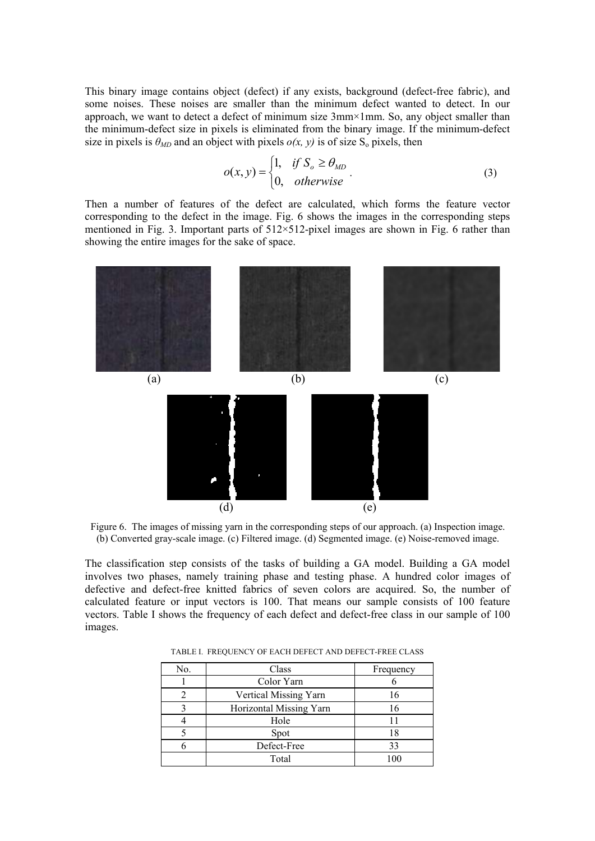This binary image contains object (defect) if any exists, background (defect-free fabric), and some noises. These noises are smaller than the minimum defect wanted to detect. In our approach, we want to detect a defect of minimum size 3mm×1mm. So, any object smaller than the minimum-defect size in pixels is eliminated from the binary image. If the minimum-defect size in pixels is  $\theta_{MD}$  and an object with pixels  $\rho(x, y)$  is of size S<sub>o</sub> pixels, then

$$
o(x, y) = \begin{cases} 1, & \text{if } S_o \ge \theta_{MD} \\ 0, & \text{otherwise} \end{cases} .
$$
 (3)

Then a number of features of the defect are calculated, which forms the feature vector corresponding to the defect in the image. Fig. 6 shows the images in the corresponding steps mentioned in Fig. 3. Important parts of 512×512-pixel images are shown in Fig. 6 rather than showing the entire images for the sake of space.





The classification step consists of the tasks of building a GA model. Building a GA model involves two phases, namely training phase and testing phase. A hundred color images of defective and defect-free knitted fabrics of seven colors are acquired. So, the number of calculated feature or input vectors is 100. That means our sample consists of 100 feature vectors. Table I shows the frequency of each defect and defect-free class in our sample of 100 images.

| No. | Class                   | Frequency |
|-----|-------------------------|-----------|
|     | Color Yarn              |           |
|     | Vertical Missing Yarn   | 16        |
|     | Horizontal Missing Yarn | 16        |
|     | Hole                    |           |
|     | Spot                    | 18        |
|     | Defect-Free             | 33        |
|     | Total                   | 100       |

TABLE I. FREQUENCY OF EACH DEFECT AND DEFECT-FREE CLASS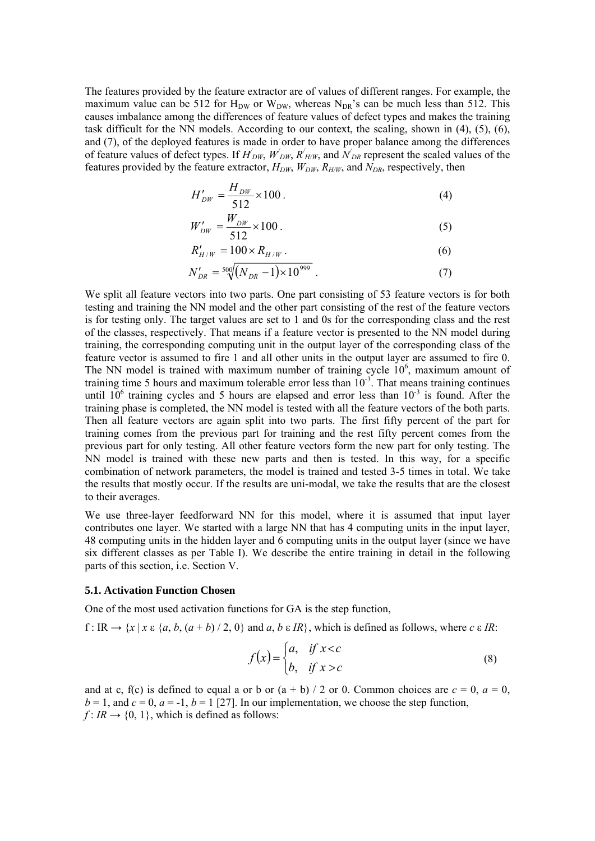The features provided by the feature extractor are of values of different ranges. For example, the maximum value can be 512 for  $H_{DW}$  or  $W_{DW}$ , whereas  $N_{DR}$ 's can be much less than 512. This causes imbalance among the differences of feature values of defect types and makes the training task difficult for the NN models. According to our context, the scaling, shown in (4), (5), (6), and (7), of the deployed features is made in order to have proper balance among the differences of feature values of defect types. If  $H'_{DW}$ ,  $W'_{DW}$ ,  $R'_{HW}$ , and  $\overline{N'_{DR}}$  represent the scaled values of the features provided by the feature extractor,  $H_{DW}$ ,  $W_{DW}$ ,  $R_{H/W}$ , and  $N_{DR}$ , respectively, then

$$
H'_{DW} = \frac{H_{DW}}{512} \times 100 \,. \tag{4}
$$

$$
W'_{DW} = \frac{W_{DW}}{512} \times 100 \,. \tag{5}
$$

$$
R'_{H/W} = 100 \times R_{H/W} \,. \tag{6}
$$

$$
N'_{DR} = \sqrt[500]{(N_{DR} - 1) \times 10^{999}} \tag{7}
$$

We split all feature vectors into two parts. One part consisting of 53 feature vectors is for both testing and training the NN model and the other part consisting of the rest of the feature vectors is for testing only. The target values are set to 1 and 0s for the corresponding class and the rest of the classes, respectively. That means if a feature vector is presented to the NN model during training, the corresponding computing unit in the output layer of the corresponding class of the feature vector is assumed to fire 1 and all other units in the output layer are assumed to fire 0. The NN model is trained with maximum number of training cycle  $10<sup>6</sup>$ , maximum amount of training time 5 hours and maximum tolerable error less than  $10^{-3}$ . That means training continues until  $10^6$  training cycles and 5 hours are elapsed and error less than  $10^{-3}$  is found. After the training phase is completed, the NN model is tested with all the feature vectors of the both parts. Then all feature vectors are again split into two parts. The first fifty percent of the part for training comes from the previous part for training and the rest fifty percent comes from the previous part for only testing. All other feature vectors form the new part for only testing. The NN model is trained with these new parts and then is tested. In this way, for a specific combination of network parameters, the model is trained and tested 3-5 times in total. We take the results that mostly occur. If the results are uni-modal, we take the results that are the closest to their averages.

We use three-layer feedforward NN for this model, where it is assumed that input layer contributes one layer. We started with a large NN that has 4 computing units in the input layer, 48 computing units in the hidden layer and 6 computing units in the output layer (since we have six different classes as per Table I). We describe the entire training in detail in the following parts of this section, i.e. Section V.

### **5.1. Activation Function Chosen**

One of the most used activation functions for GA is the step function,

f : IR → {*x* | *x* ε {*a*, *b*, (*a* + *b*) / 2, 0} and *a*, *b* ε *IR*}, which is defined as follows, where *c* ε *IR*:

$$
f(x) = \begin{cases} a, & \text{if } x < c \\ b, & \text{if } x > c \end{cases}
$$
 (8)

and at c, f(c) is defined to equal a or b or  $(a + b) / 2$  or 0. Common choices are  $c = 0$ ,  $a = 0$ ,  $b = 1$ , and  $c = 0$ ,  $a = -1$ ,  $b = 1$  [27]. In our implementation, we choose the step function,  $f: IR \rightarrow \{0, 1\}$ , which is defined as follows: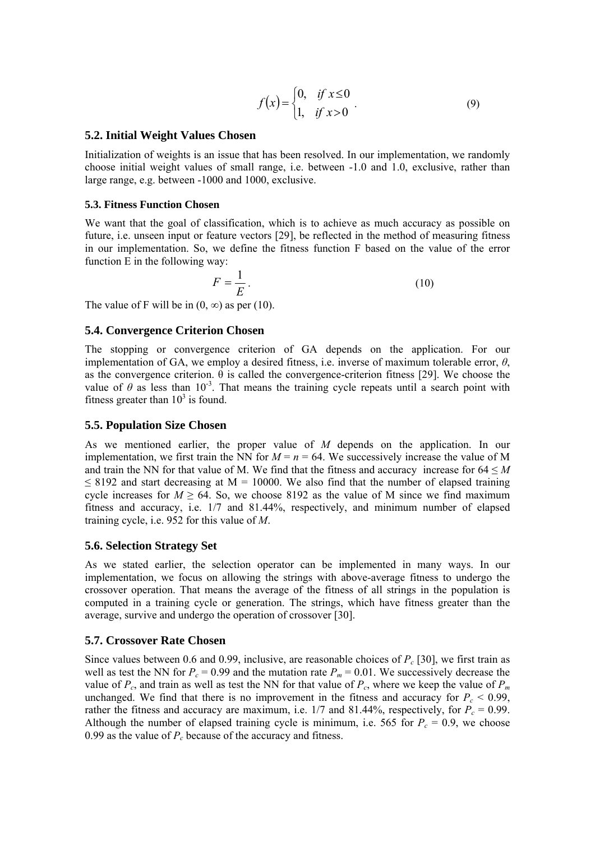$$
f(x) = \begin{cases} 0, & \text{if } x \le 0 \\ 1, & \text{if } x > 0 \end{cases} \tag{9}
$$

### **5.2. Initial Weight Values Chosen**

Initialization of weights is an issue that has been resolved. In our implementation, we randomly choose initial weight values of small range, i.e. between -1.0 and 1.0, exclusive, rather than large range, e.g. between -1000 and 1000, exclusive.

### **5.3. Fitness Function Chosen**

We want that the goal of classification, which is to achieve as much accuracy as possible on future, i.e. unseen input or feature vectors [29], be reflected in the method of measuring fitness in our implementation. So, we define the fitness function F based on the value of the error function E in the following way:

$$
F = \frac{1}{E} \,. \tag{10}
$$

The value of F will be in  $(0, \infty)$  as per (10).

### **5.4. Convergence Criterion Chosen**

The stopping or convergence criterion of GA depends on the application. For our implementation of GA, we employ a desired fitness, i.e. inverse of maximum tolerable error, *θ*, as the convergence criterion.  $\theta$  is called the convergence-criterion fitness [29]. We choose the value of  $\theta$  as less than 10<sup>-3</sup>. That means the training cycle repeats until a search point with fitness greater than  $10^3$  is found.

### **5.5. Population Size Chosen**

As we mentioned earlier, the proper value of *M* depends on the application. In our implementation, we first train the NN for  $M = n = 64$ . We successively increase the value of M and train the NN for that value of M. We find that the fitness and accuracy increase for  $64 \leq M$  $\leq$  8192 and start decreasing at M = 10000. We also find that the number of elapsed training cycle increases for  $M \ge 64$ . So, we choose 8192 as the value of M since we find maximum fitness and accuracy, i.e. 1/7 and 81.44%, respectively, and minimum number of elapsed training cycle, i.e. 952 for this value of *M*.

### **5.6. Selection Strategy Set**

As we stated earlier, the selection operator can be implemented in many ways. In our implementation, we focus on allowing the strings with above-average fitness to undergo the crossover operation. That means the average of the fitness of all strings in the population is computed in a training cycle or generation. The strings, which have fitness greater than the average, survive and undergo the operation of crossover [30].

### **5.7. Crossover Rate Chosen**

Since values between 0.6 and 0.99, inclusive, are reasonable choices of  $P_c$  [30], we first train as well as test the NN for  $P_c = 0.99$  and the mutation rate  $P_m = 0.01$ . We successively decrease the value of  $P_c$ , and train as well as test the NN for that value of  $P_c$ , where we keep the value of  $P_m$ unchanged. We find that there is no improvement in the fitness and accuracy for  $P_c < 0.99$ , rather the fitness and accuracy are maximum, i.e.  $1/7$  and 81.44%, respectively, for  $P_c = 0.99$ . Although the number of elapsed training cycle is minimum, i.e. 565 for  $P_c = 0.9$ , we choose 0.99 as the value of  $P_c$  because of the accuracy and fitness.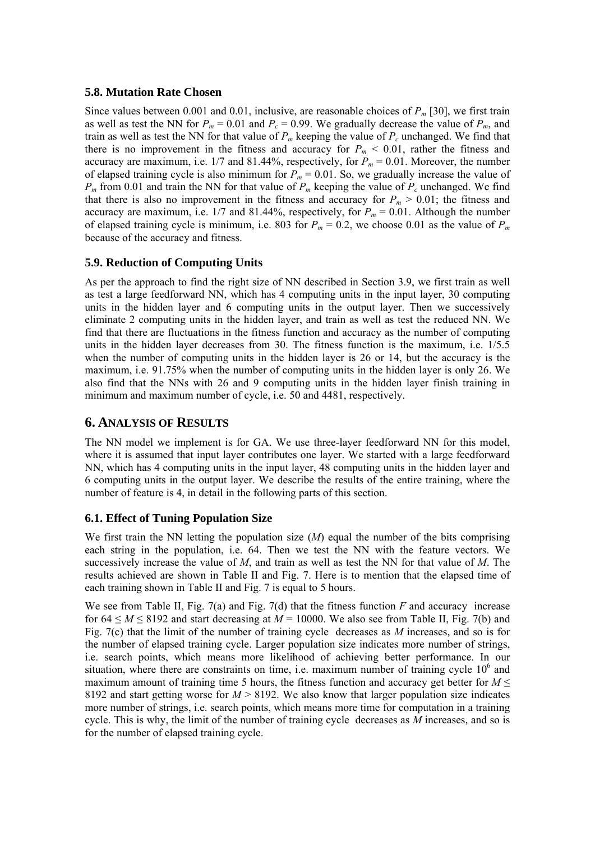# **5.8. Mutation Rate Chosen**

Since values between 0.001 and 0.01, inclusive, are reasonable choices of  $P_m$  [30], we first train as well as test the NN for  $P_m = 0.01$  and  $P_c = 0.99$ . We gradually decrease the value of  $P_m$ , and train as well as test the NN for that value of  $P_m$  keeping the value of  $P_c$  unchanged. We find that there is no improvement in the fitness and accuracy for  $P_m < 0.01$ , rather the fitness and accuracy are maximum, i.e.  $1/7$  and  $81.44\%$ , respectively, for  $P_m = 0.01$ . Moreover, the number of elapsed training cycle is also minimum for  $P_m = 0.01$ . So, we gradually increase the value of  $P_m$  from 0.01 and train the NN for that value of  $P_m$  keeping the value of  $P_c$  unchanged. We find that there is also no improvement in the fitness and accuracy for  $P_m > 0.01$ ; the fitness and accuracy are maximum, i.e.  $1/7$  and  $81.44\%$ , respectively, for  $P_m = 0.01$ . Although the number of elapsed training cycle is minimum, i.e. 803 for  $P_m = 0.2$ , we choose 0.01 as the value of  $P_m$ because of the accuracy and fitness.

# **5.9. Reduction of Computing Units**

As per the approach to find the right size of NN described in Section 3.9, we first train as well as test a large feedforward NN, which has 4 computing units in the input layer, 30 computing units in the hidden layer and 6 computing units in the output layer. Then we successively eliminate 2 computing units in the hidden layer, and train as well as test the reduced NN. We find that there are fluctuations in the fitness function and accuracy as the number of computing units in the hidden layer decreases from 30. The fitness function is the maximum, i.e. 1/5.5 when the number of computing units in the hidden layer is 26 or 14, but the accuracy is the maximum, i.e. 91.75% when the number of computing units in the hidden layer is only 26. We also find that the NNs with 26 and 9 computing units in the hidden layer finish training in minimum and maximum number of cycle, i.e. 50 and 4481, respectively.

# **6. ANALYSIS OF RESULTS**

The NN model we implement is for GA. We use three-layer feedforward NN for this model, where it is assumed that input layer contributes one layer. We started with a large feedforward NN, which has 4 computing units in the input layer, 48 computing units in the hidden layer and 6 computing units in the output layer. We describe the results of the entire training, where the number of feature is 4, in detail in the following parts of this section.

# **6.1. Effect of Tuning Population Size**

We first train the NN letting the population size (*M*) equal the number of the bits comprising each string in the population, i.e. 64. Then we test the NN with the feature vectors. We successively increase the value of *M*, and train as well as test the NN for that value of *M*. The results achieved are shown in Table II and Fig. 7. Here is to mention that the elapsed time of each training shown in Table II and Fig. 7 is equal to 5 hours.

We see from Table II, Fig. 7(a) and Fig. 7(d) that the fitness function *F* and accuracy increase for  $64 \le M \le 8192$  and start decreasing at  $M = 10000$ . We also see from Table II, Fig. 7(b) and Fig. 7(c) that the limit of the number of training cycle decreases as *M* increases, and so is for the number of elapsed training cycle. Larger population size indicates more number of strings, i.e. search points, which means more likelihood of achieving better performance. In our situation, where there are constraints on time, i.e. maximum number of training cycle  $10<sup>6</sup>$  and maximum amount of training time 5 hours, the fitness function and accuracy get better for  $M \leq$ 8192 and start getting worse for  $M > 8192$ . We also know that larger population size indicates more number of strings, i.e. search points, which means more time for computation in a training cycle. This is why, the limit of the number of training cycle decreases as *M* increases, and so is for the number of elapsed training cycle.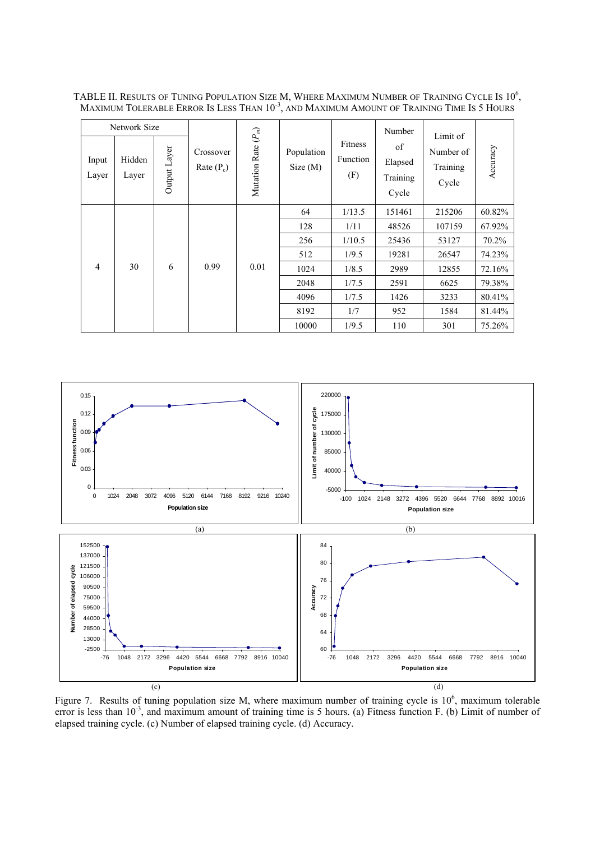TABLE II. RESULTS OF TUNING POPULATION SIZE M, WHERE MAXIMUM NUMBER OF TRAINING CYCLE IS  $10^6\rm{,}$ MAXIMUM TOLERABLE ERROR IS LESS THAN  $10^{\text{-}3}$ , and Maximum Amount of Training Time Is 5 Hours

|                | Network Size    |              |                           |                       |                       |                            | Number                             | Limit of                       |          |
|----------------|-----------------|--------------|---------------------------|-----------------------|-----------------------|----------------------------|------------------------------------|--------------------------------|----------|
| Input<br>Layer | Hidden<br>Layer | Output Layer | Crossover<br>Rate $(P_c)$ | Mutation Rate $(P_m)$ | Population<br>Size(M) | Fitness<br>Function<br>(F) | of<br>Elapsed<br>Training<br>Cycle | Number of<br>Training<br>Cycle | Accuracy |
|                |                 |              |                           |                       | 64                    | 1/13.5                     | 151461                             | 215206                         | 60.82%   |
|                |                 |              |                           |                       | 128                   | 1/11                       | 48526                              | 107159                         | 67.92%   |
|                |                 |              |                           |                       | 256                   | 1/10.5                     | 25436                              | 53127                          | 70.2%    |
|                |                 |              |                           |                       | 512                   | 1/9.5                      | 19281                              | 26547                          | 74.23%   |
| $\overline{4}$ | 30              | 6            | 0.99                      | 0.01                  | 1024                  | 1/8.5                      | 2989                               | 12855                          | 72.16%   |
|                |                 |              |                           |                       | 2048                  | 1/7.5                      | 2591                               | 6625                           | 79.38%   |
|                |                 |              |                           |                       | 4096                  | 1/7.5                      | 1426                               | 3233                           | 80.41%   |
|                |                 |              |                           |                       | 8192                  | 1/7                        | 952                                | 1584                           | 81.44%   |
|                |                 |              |                           |                       | 10000                 | 1/9.5                      | 110                                | 301                            | 75.26%   |



Figure 7. Results of tuning population size M, where maximum number of training cycle is  $10^6$ , maximum tolerable error is less than  $10^{-3}$ , and maximum amount of training time is 5 hours. (a) Fitness function F. (b) Limit of number of elapsed training cycle. (c) Number of elapsed training cycle. (d) Accuracy.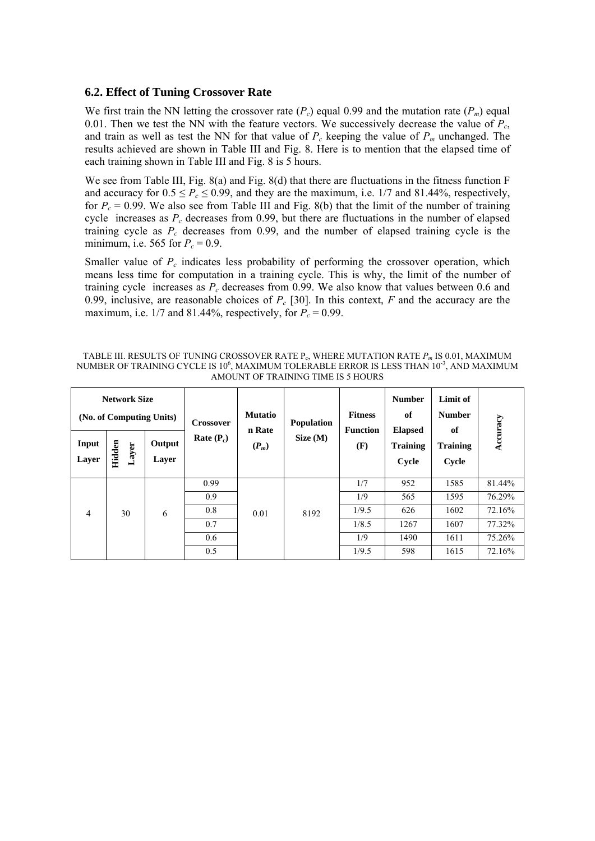# **6.2. Effect of Tuning Crossover Rate**

We first train the NN letting the crossover rate  $(P_c)$  equal 0.99 and the mutation rate  $(P_m)$  equal 0.01. Then we test the NN with the feature vectors. We successively decrease the value of  $P_c$ , and train as well as test the NN for that value of  $P_c$  keeping the value of  $P_m$  unchanged. The results achieved are shown in Table III and Fig. 8. Here is to mention that the elapsed time of each training shown in Table III and Fig. 8 is 5 hours.

We see from Table III, Fig. 8(a) and Fig. 8(d) that there are fluctuations in the fitness function F and accuracy for  $0.5 \le P_c \le 0.99$ , and they are the maximum, i.e. 1/7 and 81.44%, respectively, for  $P_c = 0.99$ . We also see from Table III and Fig. 8(b) that the limit of the number of training cycle increases as  $P_c$  decreases from 0.99, but there are fluctuations in the number of elapsed training cycle as  $P_c$  decreases from 0.99, and the number of elapsed training cycle is the minimum, i.e. 565 for  $P_c = 0.9$ .

Smaller value of  $P_c$  indicates less probability of performing the crossover operation, which means less time for computation in a training cycle. This is why, the limit of the number of training cycle increases as  $P_c$  decreases from 0.99. We also know that values between 0.6 and 0.99, inclusive, are reasonable choices of  $P_c$  [30]. In this context,  $F$  and the accuracy are the maximum, i.e.  $1/7$  and  $81.44\%$ , respectively, for  $P_c = 0.99$ .

TABLE III. RESULTS OF TUNING CROSSOVER RATE P<sub>c</sub>, WHERE MUTATION RATE  $P_m$  IS 0.01, MAXIMUM NUMBER OF TRAINING CYCLE IS  $10^6$ , MAXIMUM TOLERABLE ERROR IS LESS THAN  $10^3$ , AND MAXIMUM AMOUNT OF TRAINING TIME IS 5 HOURS

| <b>Network Size</b><br>(No. of Computing Units) |                 | <b>Mutatio</b><br><b>Crossover</b><br>n Rate |              | Population | <b>Fitness</b><br><b>Function</b> | <b>Number</b><br>of | Limit of<br><b>Number</b><br>of     |                          |          |
|-------------------------------------------------|-----------------|----------------------------------------------|--------------|------------|-----------------------------------|---------------------|-------------------------------------|--------------------------|----------|
| Input<br>Layer                                  | Hidden<br>Layer | Output<br>Layer                              | Rate $(P_c)$ | $(P_m)$    | Size(M)                           | (F)                 | <b>Elapsed</b><br>Training<br>Cycle | <b>Training</b><br>Cycle | Accuracy |
|                                                 |                 |                                              | 0.99         | 0.01       | 8192                              | 1/7                 | 952                                 | 1585                     | 81.44%   |
|                                                 |                 |                                              | 0.9          |            |                                   | 1/9                 | 565                                 | 1595                     | 76.29%   |
| $\overline{4}$                                  | 30              | 6                                            | 0.8          |            |                                   | 1/9.5               | 626                                 | 1602                     | 72.16%   |
|                                                 |                 |                                              | 0.7          |            |                                   | 1/8.5               | 1267                                | 1607                     | 77.32%   |
|                                                 |                 |                                              | 0.6          |            |                                   | 1/9                 | 1490                                | 1611                     | 75.26%   |
|                                                 |                 |                                              | 0.5          |            |                                   | 1/9.5               | 598                                 | 1615                     | 72.16%   |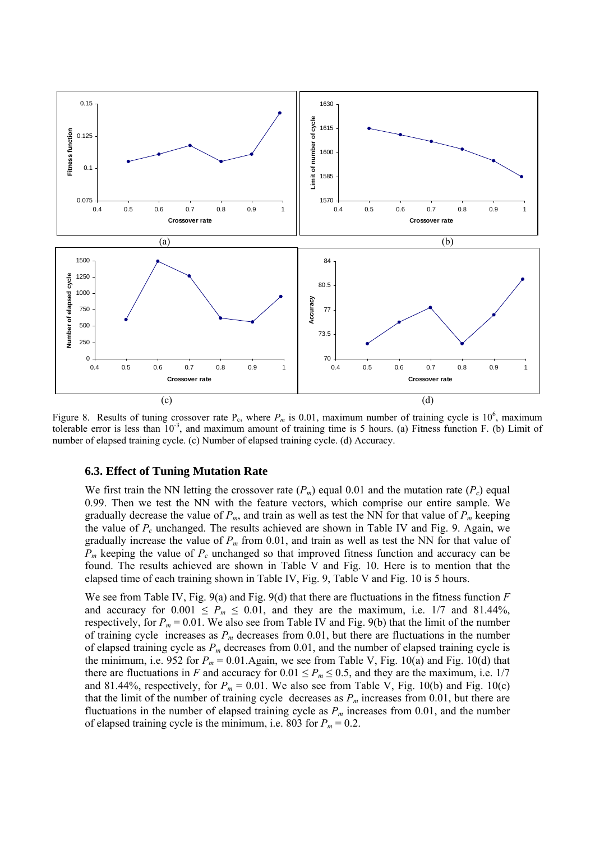

Figure 8. Results of tuning crossover rate  $P_c$ , where  $P_m$  is 0.01, maximum number of training cycle is 10<sup>6</sup>, maximum tolerable error is less than  $10^{-3}$ , and maximum amount of training time is 5 hours. (a) Fitness function F. (b) Limit of number of elapsed training cycle. (c) Number of elapsed training cycle. (d) Accuracy.

## **6.3. Effect of Tuning Mutation Rate**

We first train the NN letting the crossover rate  $(P_m)$  equal 0.01 and the mutation rate  $(P_c)$  equal 0.99. Then we test the NN with the feature vectors, which comprise our entire sample. We gradually decrease the value of  $P_m$ , and train as well as test the NN for that value of  $P_m$  keeping the value of *Pc* unchanged. The results achieved are shown in Table IV and Fig. 9. Again, we gradually increase the value of  $P_m$  from 0.01, and train as well as test the NN for that value of  $P_m$  keeping the value of  $P_c$  unchanged so that improved fitness function and accuracy can be found. The results achieved are shown in Table V and Fig. 10. Here is to mention that the elapsed time of each training shown in Table IV, Fig. 9, Table V and Fig. 10 is 5 hours.

We see from Table IV, Fig. 9(a) and Fig. 9(d) that there are fluctuations in the fitness function *F* and accuracy for  $0.001 \le P_m \le 0.01$ , and they are the maximum, i.e. 1/7 and 81.44%, respectively, for  $P_m = 0.01$ . We also see from Table IV and Fig. 9(b) that the limit of the number of training cycle increases as  $P_m$  decreases from 0.01, but there are fluctuations in the number of elapsed training cycle as *Pm* decreases from 0.01, and the number of elapsed training cycle is the minimum, i.e. 952 for  $P_m = 0.01$ . Again, we see from Table V, Fig. 10(a) and Fig. 10(d) that there are fluctuations in *F* and accuracy for  $0.01 \le P_m \le 0.5$ , and they are the maximum, i.e. 1/7 and 81.44%, respectively, for  $P_m = 0.01$ . We also see from Table V, Fig. 10(b) and Fig. 10(c) that the limit of the number of training cycle decreases as  $P_m$  increases from 0.01, but there are fluctuations in the number of elapsed training cycle as  $P_m$  increases from 0.01, and the number of elapsed training cycle is the minimum, i.e. 803 for  $P_m = 0.2$ .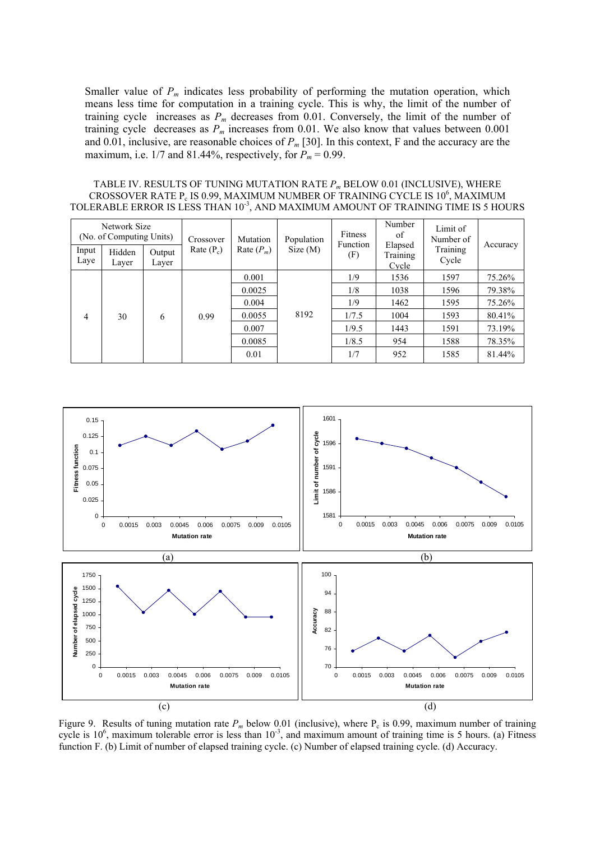Smaller value of  $P_m$  indicates less probability of performing the mutation operation, which means less time for computation in a training cycle. This is why, the limit of the number of training cycle increases as  $P_m$  decreases from 0.01. Conversely, the limit of the number of training cycle decreases as  $P_m$  increases from 0.01. We also know that values between 0.001 and 0.01, inclusive, are reasonable choices of *Pm* [30]. In this context, F and the accuracy are the maximum, i.e.  $1/7$  and  $81.44\%$ , respectively, for  $P_m = 0.99$ .

TABLE IV. RESULTS OF TUNING MUTATION RATE *Pm* BELOW 0.01 (INCLUSIVE), WHERE CROSSOVER RATE  $P_c$  IS 0.99, MAXIMUM NUMBER OF TRAINING CYCLE IS 10<sup>6</sup>, MAXIMUM TOLERABLE ERROR IS LESS THAN 10<sup>-3</sup>, AND MAXIMUM AMOUNT OF TRAINING TIME IS 5 HOURS

| Network Size<br>(No. of Computing Units) |                 | Mutation<br>Crossover |              | Population   | Fitness<br>Function | Number<br>of<br>Elapsed | Limit of<br>Number of | Accuracy          |        |
|------------------------------------------|-----------------|-----------------------|--------------|--------------|---------------------|-------------------------|-----------------------|-------------------|--------|
| Input<br>Laye                            | Hidden<br>Layer | Output<br>Layer       | Rate $(P_c)$ | Rate $(P_m)$ | Size(M)             | (F)                     | Training<br>Cycle     | Training<br>Cycle |        |
|                                          |                 | 6                     | 0.99         | 0.001        | 8192                | 1/9                     | 1536                  | 1597              | 75.26% |
|                                          |                 |                       |              | 0.0025       |                     | 1/8                     | 1038                  | 1596              | 79.38% |
|                                          |                 |                       |              | 0.004        |                     | 1/9                     | 1462                  | 1595              | 75.26% |
| $\overline{4}$                           | 30              |                       |              | 0.0055       |                     | 1/7.5                   | 1004                  | 1593              | 80.41% |
|                                          |                 |                       |              | 0.007        |                     | 1/9.5                   | 1443                  | 1591              | 73.19% |
|                                          |                 |                       |              | 0.0085       |                     | 1/8.5                   | 954                   | 1588              | 78.35% |
|                                          |                 |                       |              | 0.01         |                     | 1/7                     | 952                   | 1585              | 81.44% |



Figure 9. Results of tuning mutation rate  $P_m$  below 0.01 (inclusive), where  $P_c$  is 0.99, maximum number of training cycle is  $10^6$ , maximum tolerable error is less than  $10^{-3}$ , and maximum amount of training time is 5 hours. (a) Fitness function F. (b) Limit of number of elapsed training cycle. (c) Number of elapsed training cycle. (d) Accuracy.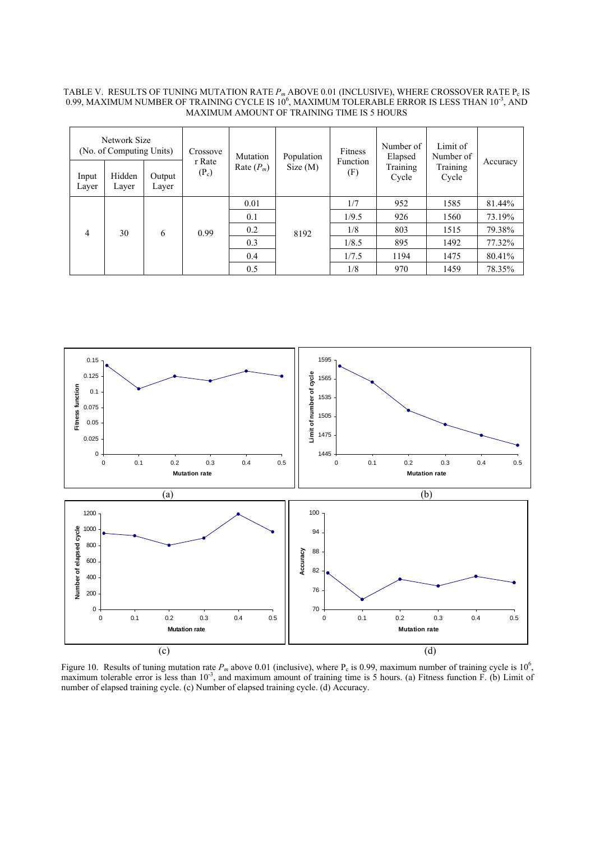### TABLE V. RESULTS OF TUNING MUTATION RATE  $P_m$  ABOVE 0.01 (INCLUSIVE), WHERE CROSSOVER RATE  $P_c$  IS 0.99, MAXIMUM NUMBER OF TRAINING CYCLE IS  $10^6$ , MAXIMUM TOLERABLE ERROR IS LESS THAN  $10^3$ , AND MAXIMUM AMOUNT OF TRAINING TIME IS 5 HOURS

| Network Size<br>(No. of Computing Units) |                 | Crossove        | Mutation          | Population   | <b>Fitness</b> | Number of<br>Elapsed | Limit of<br>Number of |                   |          |
|------------------------------------------|-----------------|-----------------|-------------------|--------------|----------------|----------------------|-----------------------|-------------------|----------|
| Input<br>Layer                           | Hidden<br>Laver | Output<br>Layer | r Rate<br>$(P_c)$ | Rate $(P_m)$ | Size(M)        | Function<br>(F)      | Training<br>Cycle     | Training<br>Cycle | Accuracy |
|                                          |                 | 6<br>30         | 0.99              | 0.01         | 8192           | 1/7                  | 952                   | 1585              | 81.44%   |
|                                          |                 |                 |                   | 0.1          |                | 1/9.5                | 926                   | 1560              | 73.19%   |
| $\overline{4}$                           |                 |                 |                   | 0.2          |                | 1/8                  | 803                   | 1515              | 79.38%   |
|                                          |                 |                 |                   | 0.3          |                | 1/8.5                | 895                   | 1492              | 77.32%   |
|                                          |                 |                 |                   | 0.4          |                | 1/7.5                | 1194                  | 1475              | 80.41%   |
|                                          |                 |                 |                   | 0.5          |                | 1/8                  | 970                   | 1459              | 78.35%   |



Figure 10. Results of tuning mutation rate  $P_m$  above 0.01 (inclusive), where  $P_c$  is 0.99, maximum number of training cycle is 10<sup>6</sup>, maximum tolerable error is less than  $10^{-3}$ , and maximum amount of training time is 5 hours. (a) Fitness function F. (b) Limit of number of elapsed training cycle. (c) Number of elapsed training cycle. (d) Accuracy.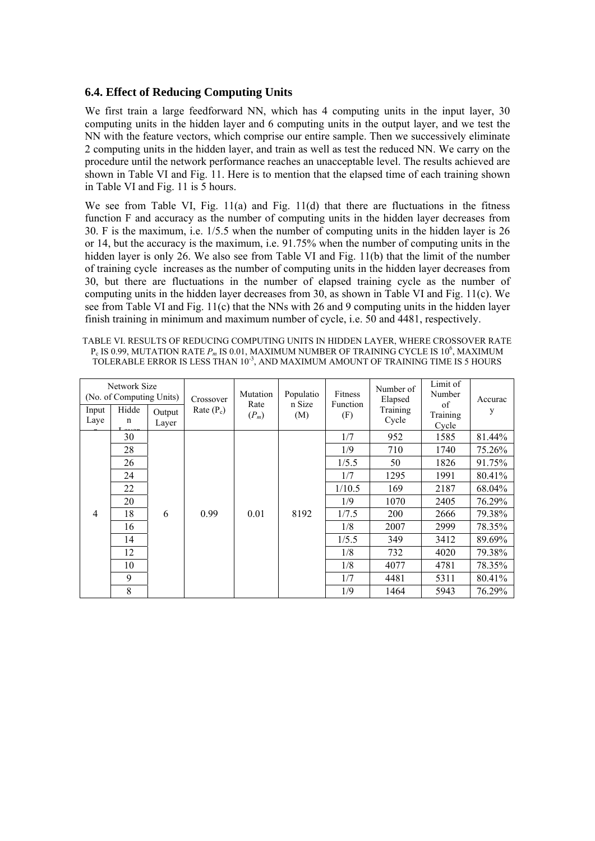# **6.4. Effect of Reducing Computing Units**

We first train a large feedforward NN, which has 4 computing units in the input layer, 30 computing units in the hidden layer and 6 computing units in the output layer, and we test the NN with the feature vectors, which comprise our entire sample. Then we successively eliminate 2 computing units in the hidden layer, and train as well as test the reduced NN. We carry on the procedure until the network performance reaches an unacceptable level. The results achieved are shown in Table VI and Fig. 11. Here is to mention that the elapsed time of each training shown in Table VI and Fig. 11 is 5 hours.

We see from Table VI, Fig. 11(a) and Fig. 11(d) that there are fluctuations in the fitness function F and accuracy as the number of computing units in the hidden layer decreases from 30. F is the maximum, i.e. 1/5.5 when the number of computing units in the hidden layer is 26 or 14, but the accuracy is the maximum, i.e. 91.75% when the number of computing units in the hidden layer is only 26. We also see from Table VI and Fig. 11(b) that the limit of the number of training cycle increases as the number of computing units in the hidden layer decreases from 30, but there are fluctuations in the number of elapsed training cycle as the number of computing units in the hidden layer decreases from 30, as shown in Table VI and Fig. 11(c). We see from Table VI and Fig. 11(c) that the NNs with 26 and 9 computing units in the hidden layer finish training in minimum and maximum number of cycle, i.e. 50 and 4481, respectively.

| TABLE VI. RESULTS OF REDUCING COMPUTING UNITS IN HIDDEN LAYER, WHERE CROSSOVER RATE |                                                                                                           |  |  |  |  |
|-------------------------------------------------------------------------------------|-----------------------------------------------------------------------------------------------------------|--|--|--|--|
|                                                                                     | $P_c$ IS 0.99, MUTATION RATE $P_m$ IS 0.01, MAXIMUM NUMBER OF TRAINING CYCLE IS 10 <sup>6</sup> , MAXIMUM |  |  |  |  |
|                                                                                     | TOLERABLE ERROR IS LESS THAN 10 <sup>-3</sup> , AND MAXIMUM AMOUNT OF TRAINING TIME IS 5 HOURS            |  |  |  |  |

| Input<br>Laye  | Network Size<br>Hidde<br>Output<br>n<br>Laver |   |      |      | (No. of Computing Units) |        | Crossover<br>Rate $(P_c)$ | Mutation<br>Rate<br>$(P_m)$ | Populatio<br>n Size<br>(M) | Fitness<br>Function<br>(F) | Number of<br>Elapsed<br>Training<br>Cycle | Limit of<br>Number<br>of<br>Training<br>Cycle | Accurac<br>y |
|----------------|-----------------------------------------------|---|------|------|--------------------------|--------|---------------------------|-----------------------------|----------------------------|----------------------------|-------------------------------------------|-----------------------------------------------|--------------|
|                | 30                                            |   |      |      | 8192                     | 1/7    | 952                       | 1585                        | 81.44%                     |                            |                                           |                                               |              |
|                | 28                                            |   |      | 0.01 |                          | 1/9    | 710                       | 1740                        | 75.26%                     |                            |                                           |                                               |              |
|                | 26                                            |   | 0.99 |      |                          | 1/5.5  | 50                        | 1826                        | 91.75%                     |                            |                                           |                                               |              |
|                | 24                                            |   |      |      |                          | 1/7    | 1295                      | 1991                        | 80.41%                     |                            |                                           |                                               |              |
|                | 22                                            |   |      |      |                          | 1/10.5 | 169                       | 2187                        | 68.04%                     |                            |                                           |                                               |              |
|                | 20                                            |   |      |      |                          | 1/9    | 1070                      | 2405                        | 76.29%                     |                            |                                           |                                               |              |
| $\overline{4}$ | 18                                            | 6 |      |      |                          | 1/7.5  | 200                       | 2666                        | 79.38%                     |                            |                                           |                                               |              |
|                | 16                                            |   |      |      |                          | 1/8    | 2007                      | 2999                        | 78.35%                     |                            |                                           |                                               |              |
|                | 14                                            |   |      |      |                          | 1/5.5  | 349                       | 3412                        | 89.69%                     |                            |                                           |                                               |              |
|                | 12                                            |   |      |      |                          | 1/8    | 732                       | 4020                        | 79.38%                     |                            |                                           |                                               |              |
|                | 10                                            |   |      |      |                          | 1/8    | 4077                      | 4781                        | 78.35%                     |                            |                                           |                                               |              |
|                | 9                                             |   |      |      |                          | 1/7    | 4481                      | 5311                        | 80.41%                     |                            |                                           |                                               |              |
|                | 8                                             |   |      |      |                          | 1/9    | 1464                      | 5943                        | 76.29%                     |                            |                                           |                                               |              |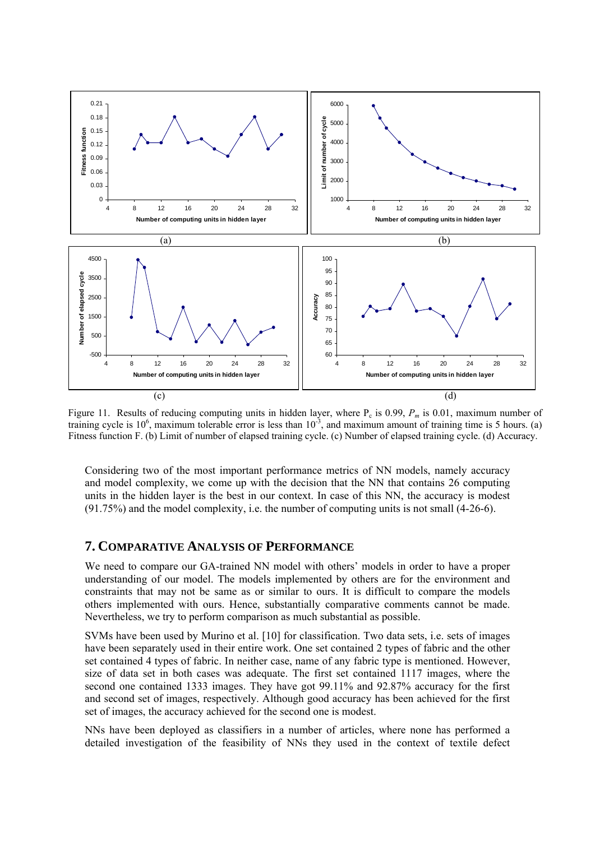

Figure 11. Results of reducing computing units in hidden layer, where  $P_c$  is 0.99,  $P_m$  is 0.01, maximum number of training cycle is  $10^6$ , maximum tolerable error is less than  $10^{-3}$ , and maximum amount of training time is 5 hours. (a) Fitness function F. (b) Limit of number of elapsed training cycle. (c) Number of elapsed training cycle. (d) Accuracy.

Considering two of the most important performance metrics of NN models, namely accuracy and model complexity, we come up with the decision that the NN that contains 26 computing units in the hidden layer is the best in our context. In case of this NN, the accuracy is modest (91.75%) and the model complexity, i.e. the number of computing units is not small (4-26-6).

# **7. COMPARATIVE ANALYSIS OF PERFORMANCE**

We need to compare our GA-trained NN model with others' models in order to have a proper understanding of our model. The models implemented by others are for the environment and constraints that may not be same as or similar to ours. It is difficult to compare the models others implemented with ours. Hence, substantially comparative comments cannot be made. Nevertheless, we try to perform comparison as much substantial as possible.

SVMs have been used by Murino et al. [10] for classification. Two data sets, i.e. sets of images have been separately used in their entire work. One set contained 2 types of fabric and the other set contained 4 types of fabric. In neither case, name of any fabric type is mentioned. However, size of data set in both cases was adequate. The first set contained 1117 images, where the second one contained 1333 images. They have got 99.11% and 92.87% accuracy for the first and second set of images, respectively. Although good accuracy has been achieved for the first set of images, the accuracy achieved for the second one is modest.

NNs have been deployed as classifiers in a number of articles, where none has performed a detailed investigation of the feasibility of NNs they used in the context of textile defect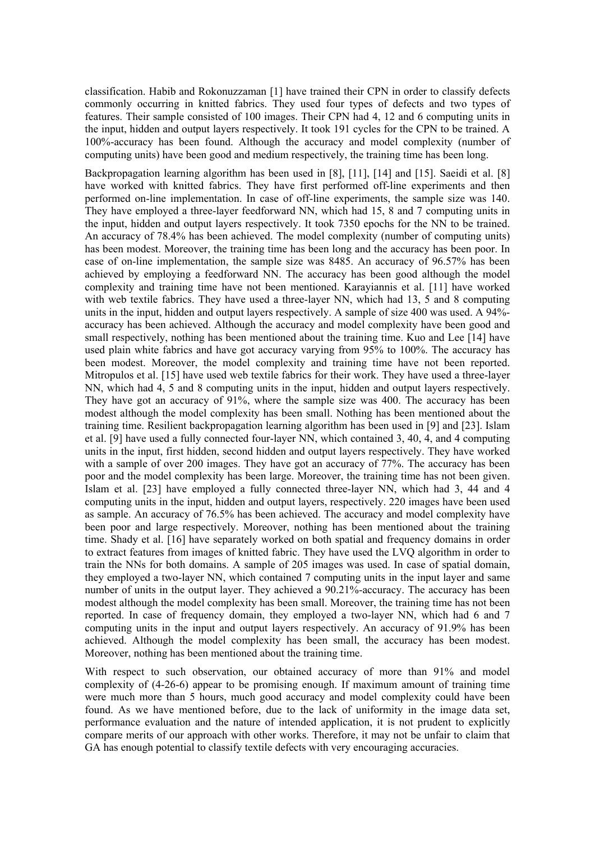classification. Habib and Rokonuzzaman [1] have trained their CPN in order to classify defects commonly occurring in knitted fabrics. They used four types of defects and two types of features. Their sample consisted of 100 images. Their CPN had 4, 12 and 6 computing units in the input, hidden and output layers respectively. It took 191 cycles for the CPN to be trained. A 100%-accuracy has been found. Although the accuracy and model complexity (number of computing units) have been good and medium respectively, the training time has been long.

Backpropagation learning algorithm has been used in [8], [11], [14] and [15]. Saeidi et al. [8] have worked with knitted fabrics. They have first performed off-line experiments and then performed on-line implementation. In case of off-line experiments, the sample size was 140. They have employed a three-layer feedforward NN, which had 15, 8 and 7 computing units in the input, hidden and output layers respectively. It took 7350 epochs for the NN to be trained. An accuracy of 78.4% has been achieved. The model complexity (number of computing units) has been modest. Moreover, the training time has been long and the accuracy has been poor. In case of on-line implementation, the sample size was 8485. An accuracy of 96.57% has been achieved by employing a feedforward NN. The accuracy has been good although the model complexity and training time have not been mentioned. Karayiannis et al. [11] have worked with web textile fabrics. They have used a three-layer NN, which had 13, 5 and 8 computing units in the input, hidden and output layers respectively. A sample of size 400 was used. A  $94\%$ accuracy has been achieved. Although the accuracy and model complexity have been good and small respectively, nothing has been mentioned about the training time. Kuo and Lee [14] have used plain white fabrics and have got accuracy varying from 95% to 100%. The accuracy has been modest. Moreover, the model complexity and training time have not been reported. Mitropulos et al. [15] have used web textile fabrics for their work. They have used a three-layer NN, which had 4, 5 and 8 computing units in the input, hidden and output layers respectively. They have got an accuracy of 91%, where the sample size was 400. The accuracy has been modest although the model complexity has been small. Nothing has been mentioned about the training time. Resilient backpropagation learning algorithm has been used in [9] and [23]. Islam et al. [9] have used a fully connected four-layer NN, which contained 3, 40, 4, and 4 computing units in the input, first hidden, second hidden and output layers respectively. They have worked with a sample of over 200 images. They have got an accuracy of 77%. The accuracy has been poor and the model complexity has been large. Moreover, the training time has not been given. Islam et al. [23] have employed a fully connected three-layer NN, which had 3, 44 and 4 computing units in the input, hidden and output layers, respectively. 220 images have been used as sample. An accuracy of 76.5% has been achieved. The accuracy and model complexity have been poor and large respectively. Moreover, nothing has been mentioned about the training time. Shady et al. [16] have separately worked on both spatial and frequency domains in order to extract features from images of knitted fabric. They have used the LVQ algorithm in order to train the NNs for both domains. A sample of 205 images was used. In case of spatial domain, they employed a two-layer NN, which contained 7 computing units in the input layer and same number of units in the output layer. They achieved a 90.21%-accuracy. The accuracy has been modest although the model complexity has been small. Moreover, the training time has not been reported. In case of frequency domain, they employed a two-layer NN, which had 6 and 7 computing units in the input and output layers respectively. An accuracy of 91.9% has been achieved. Although the model complexity has been small, the accuracy has been modest. Moreover, nothing has been mentioned about the training time.

With respect to such observation, our obtained accuracy of more than 91% and model complexity of (4-26-6) appear to be promising enough. If maximum amount of training time were much more than 5 hours, much good accuracy and model complexity could have been found. As we have mentioned before, due to the lack of uniformity in the image data set, performance evaluation and the nature of intended application, it is not prudent to explicitly compare merits of our approach with other works. Therefore, it may not be unfair to claim that GA has enough potential to classify textile defects with very encouraging accuracies.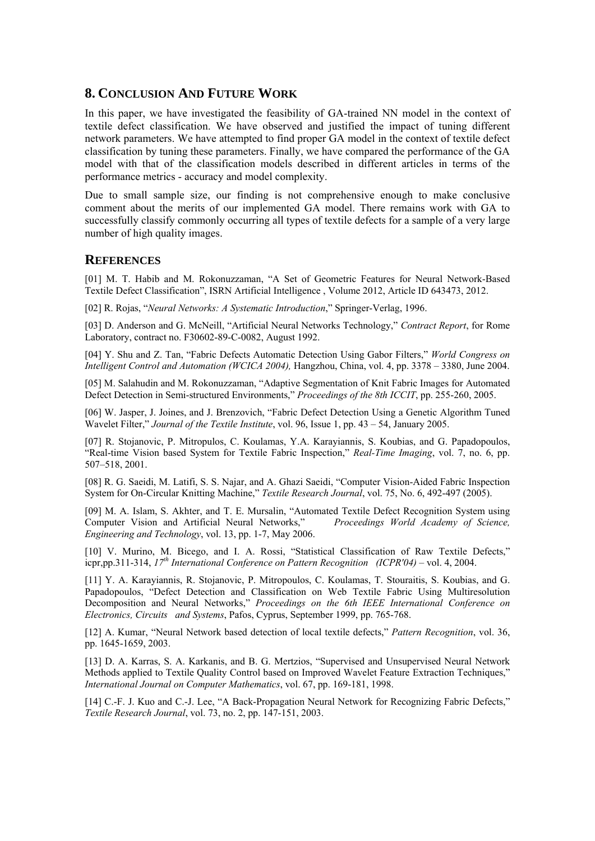# **8. CONCLUSION AND FUTURE WORK**

In this paper, we have investigated the feasibility of GA-trained NN model in the context of textile defect classification. We have observed and justified the impact of tuning different network parameters. We have attempted to find proper GA model in the context of textile defect classification by tuning these parameters. Finally, we have compared the performance of the GA model with that of the classification models described in different articles in terms of the performance metrics - accuracy and model complexity.

Due to small sample size, our finding is not comprehensive enough to make conclusive comment about the merits of our implemented GA model. There remains work with GA to successfully classify commonly occurring all types of textile defects for a sample of a very large number of high quality images.

# **REFERENCES**

[01] M. T. Habib and M. Rokonuzzaman, "A Set of Geometric Features for Neural Network-Based Textile Defect Classification", ISRN Artificial Intelligence , Volume 2012, Article ID 643473, 2012.

[02] R. Rojas, "*Neural Networks: A Systematic Introduction*," Springer-Verlag, 1996.

[03] D. Anderson and G. McNeill, "Artificial Neural Networks Technology," *Contract Report*, for Rome Laboratory, contract no. F30602-89-C-0082, August 1992.

[04] Y. Shu and Z. Tan, "Fabric Defects Automatic Detection Using Gabor Filters," *World Congress on Intelligent Control and Automation (WCICA 2004),* Hangzhou, China, vol. 4, pp. 3378 – 3380, June 2004.

[05] M. Salahudin and M. Rokonuzzaman, "Adaptive Segmentation of Knit Fabric Images for Automated Defect Detection in Semi-structured Environments," *Proceedings of the 8th ICCIT*, pp. 255-260, 2005.

[06] W. Jasper, J. Joines, and J. Brenzovich, "Fabric Defect Detection Using a Genetic Algorithm Tuned Wavelet Filter," *Journal of the Textile Institute*, vol. 96, Issue 1, pp. 43 – 54, January 2005.

[07] R. Stojanovic, P. Mitropulos, C. Koulamas, Y.A. Karayiannis, S. Koubias, and G. Papadopoulos, "Real-time Vision based System for Textile Fabric Inspection," *Real-Time Imaging*, vol. 7, no. 6, pp. 507–518, 2001.

[08] R. G. Saeidi, M. Latifi, S. S. Najar, and A. Ghazi Saeidi, "Computer Vision-Aided Fabric Inspection System for On-Circular Knitting Machine," *Textile Research Journal*, vol. 75, No. 6, 492-497 (2005).

[09] M. A. Islam, S. Akhter, and T. E. Mursalin, "Automated Textile Defect Recognition System using Computer Vision and Artificial Neural Networks," *Proceedings World Academy of Science, Engineering and Technology*, vol. 13, pp. 1-7, May 2006.

[10] V. Murino, M. Bicego, and I. A. Rossi, "Statistical Classification of Raw Textile Defects," icpr,pp.311-314, *17th International Conference on Pattern Recognition (ICPR'04)* – vol. 4, 2004.

[11] Y. A. Karayiannis, R. Stojanovic, P. Mitropoulos, C. Koulamas, T. Stouraitis, S. Koubias, and G. Papadopoulos, "Defect Detection and Classification on Web Textile Fabric Using Multiresolution Decomposition and Neural Networks," *Proceedings on the 6th IEEE International Conference on Electronics, Circuits and Systems*, Pafos, Cyprus, September 1999, pp. 765-768.

[12] A. Kumar, "Neural Network based detection of local textile defects," *Pattern Recognition*, vol. 36, pp. 1645-1659, 2003.

[13] D. A. Karras, S. A. Karkanis, and B. G. Mertzios, "Supervised and Unsupervised Neural Network Methods applied to Textile Quality Control based on Improved Wavelet Feature Extraction Techniques," *International Journal on Computer Mathematics*, vol. 67, pp. 169-181, 1998.

[14] C.-F. J. Kuo and C.-J. Lee, "A Back-Propagation Neural Network for Recognizing Fabric Defects," *Textile Research Journal*, vol. 73, no. 2, pp. 147-151, 2003.